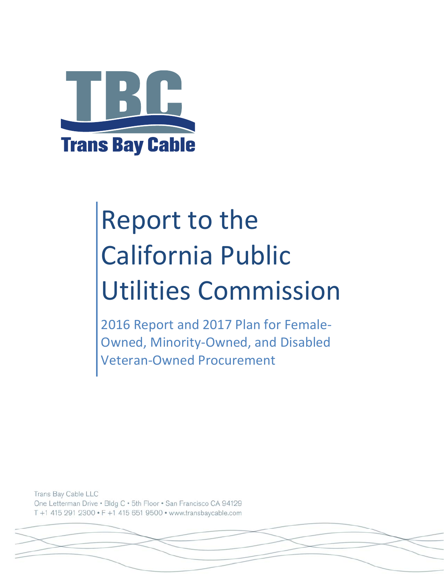

# Report to the California Public Utilities Commission

2016 Report and 2017 Plan for Female‐ Owned, Minority‐Owned, and Disabled Veteran‐Owned Procurement

Trans Bay Cable LLC One Letterman Drive . Bldg C . 5th Floor . San Francisco CA 94129 T +1 415 291 2300 · F +1 415 651 9500 · www.transbaycable.com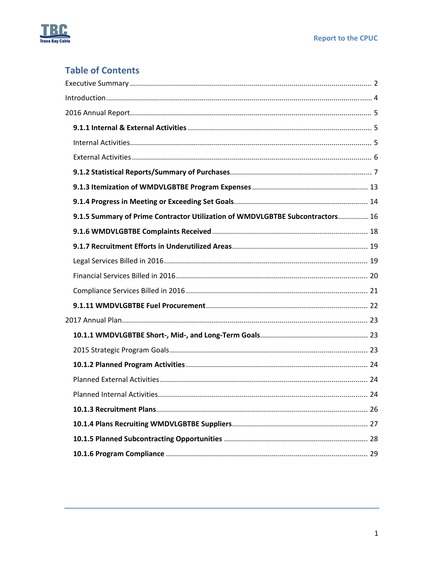

# **Table of Contents**

| 9.1.5 Summary of Prime Contractor Utilization of WMDVLGBTBE Subcontractors 16 |  |
|-------------------------------------------------------------------------------|--|
|                                                                               |  |
|                                                                               |  |
|                                                                               |  |
|                                                                               |  |
|                                                                               |  |
|                                                                               |  |
|                                                                               |  |
|                                                                               |  |
|                                                                               |  |
|                                                                               |  |
|                                                                               |  |
|                                                                               |  |
|                                                                               |  |
|                                                                               |  |
|                                                                               |  |
|                                                                               |  |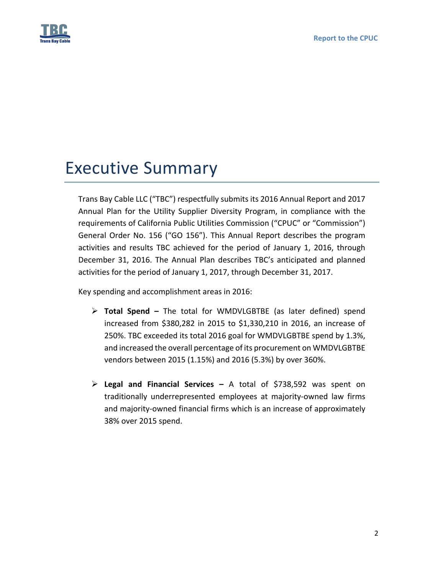

# Executive Summary

Trans Bay Cable LLC ("TBC") respectfully submits its 2016 Annual Report and 2017 Annual Plan for the Utility Supplier Diversity Program, in compliance with the requirements of California Public Utilities Commission ("CPUC" or "Commission") General Order No. 156 ("GO 156"). This Annual Report describes the program activities and results TBC achieved for the period of January 1, 2016, through December 31, 2016. The Annual Plan describes TBC's anticipated and planned activities for the period of January 1, 2017, through December 31, 2017.

Key spending and accomplishment areas in 2016:

- **Total Spend –** The total for WMDVLGBTBE (as later defined) spend increased from \$380,282 in 2015 to \$1,330,210 in 2016, an increase of 250%. TBC exceeded its total 2016 goal for WMDVLGBTBE spend by 1.3%, and increased the overall percentage of its procurement on WMDVLGBTBE vendors between 2015 (1.15%) and 2016 (5.3%) by over 360%.
- **Legal and Financial Services –** A total of \$738,592 was spent on traditionally underrepresented employees at majority‐owned law firms and majority-owned financial firms which is an increase of approximately 38% over 2015 spend.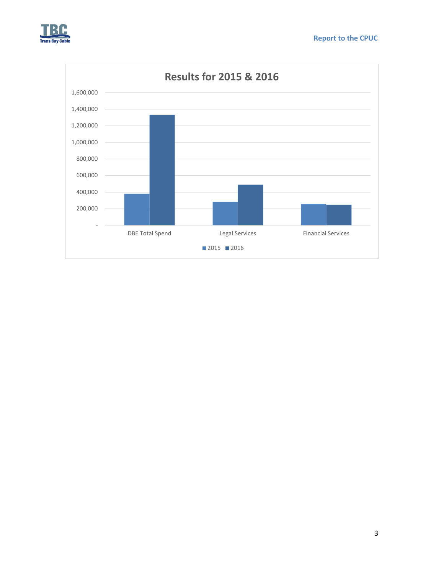



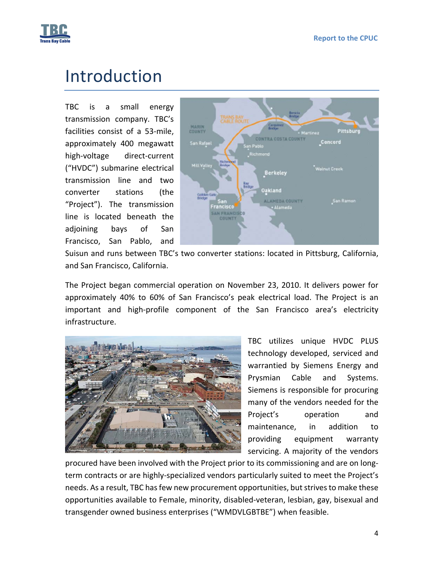

# Introduction

TBC is a small energy transmission company. TBC's facilities consist of a 53‐mile, approximately 400 megawatt high‐voltage direct‐current ("HVDC") submarine electrical transmission line and two converter stations (the "Project"). The transmission line is located beneath the adjoining bays of San Francisco, San Pablo, and



Suisun and runs between TBC's two converter stations: located in Pittsburg, California, and San Francisco, California.

The Project began commercial operation on November 23, 2010. It delivers power for approximately 40% to 60% of San Francisco's peak electrical load. The Project is an important and high‐profile component of the San Francisco area's electricity infrastructure.



TBC utilizes unique HVDC PLUS technology developed, serviced and warrantied by Siemens Energy and Prysmian Cable and Systems. Siemens is responsible for procuring many of the vendors needed for the Project's operation and maintenance, in addition to providing equipment warranty servicing. A majority of the vendors

procured have been involved with the Project prior to its commissioning and are on long‐ term contracts or are highly-specialized vendors particularly suited to meet the Project's needs. As a result, TBC has few new procurement opportunities, but strives to make these opportunities available to Female, minority, disabled‐veteran, lesbian, gay, bisexual and transgender owned business enterprises ("WMDVLGBTBE") when feasible.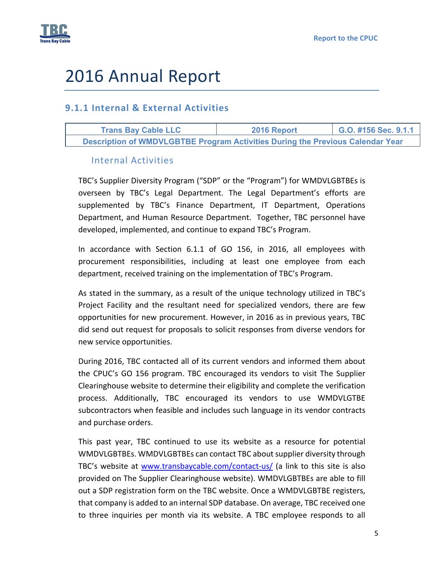

# 2016 Annual Report

# **9.1.1 Internal & External Activities**

| <b>Trans Bay Cable LLC</b>                                                     | 2016 Report | G.O. #156 Sec. 9.1.1 |  |  |  |  |  |
|--------------------------------------------------------------------------------|-------------|----------------------|--|--|--|--|--|
| Description of WMDVLGBTBE Program Activities During the Previous Calendar Year |             |                      |  |  |  |  |  |

## Internal Activities

TBC's Supplier Diversity Program ("SDP" or the "Program") for WMDVLGBTBEs is overseen by TBC's Legal Department. The Legal Department's efforts are supplemented by TBC's Finance Department, IT Department, Operations Department, and Human Resource Department. Together, TBC personnel have developed, implemented, and continue to expand TBC's Program.

In accordance with Section 6.1.1 of GO 156, in 2016, all employees with procurement responsibilities, including at least one employee from each department, received training on the implementation of TBC's Program.

As stated in the summary, as a result of the unique technology utilized in TBC's Project Facility and the resultant need for specialized vendors, there are few opportunities for new procurement. However, in 2016 as in previous years, TBC did send out request for proposals to solicit responses from diverse vendors for new service opportunities.

During 2016, TBC contacted all of its current vendors and informed them about the CPUC's GO 156 program. TBC encouraged its vendors to visit The Supplier Clearinghouse website to determine their eligibility and complete the verification process. Additionally, TBC encouraged its vendors to use WMDVLGTBE subcontractors when feasible and includes such language in its vendor contracts and purchase orders.

This past year, TBC continued to use its website as a resource for potential WMDVLGBTBEs. WMDVLGBTBEs can contact TBC about supplier diversity through TBC's website at www.transbaycable.com/contact-us/ (a link to this site is also provided on The Supplier Clearinghouse website). WMDVLGBTBEs are able to fill out a SDP registration form on the TBC website. Once a WMDVLGBTBE registers, that company is added to an internal SDP database. On average, TBC received one to three inquiries per month via its website. A TBC employee responds to all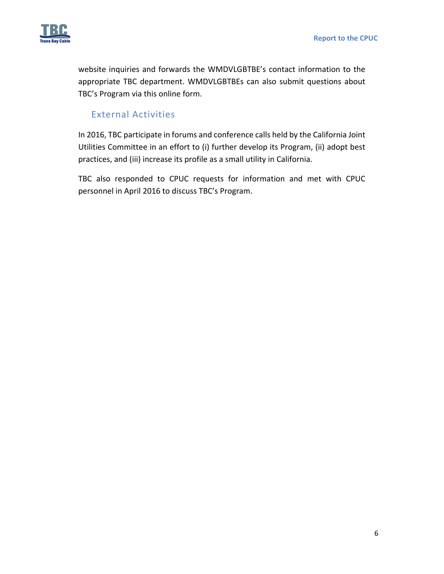

website inquiries and forwards the WMDVLGBTBE's contact information to the appropriate TBC department. WMDVLGBTBEs can also submit questions about TBC's Program via this online form.

# External Activities

In 2016, TBC participate in forums and conference calls held by the California Joint Utilities Committee in an effort to (i) further develop its Program, (ii) adopt best practices, and (iii) increase its profile as a small utility in California.

TBC also responded to CPUC requests for information and met with CPUC personnel in April 2016 to discuss TBC's Program.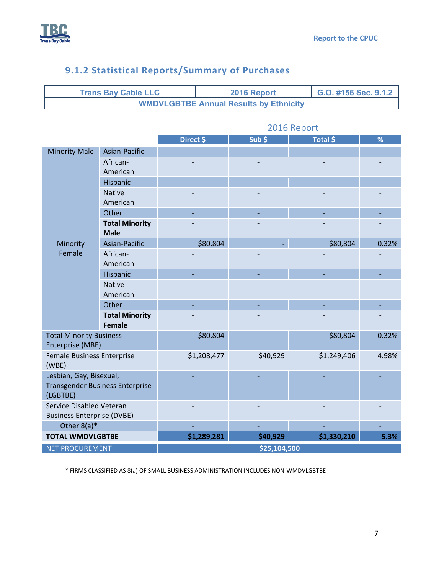

# **9.1.2 Statistical Reports/Summary of Purchases**

| <b>Trans Bay Cable LLC</b>                    | 2016 Report | G.O. #156 Sec. 9.1.2 |
|-----------------------------------------------|-------------|----------------------|
| <b>WMDVLGBTBE Annual Results by Ethnicity</b> |             |                      |

|                                                    |                       | Direct \$   | $Sub$ \$     | Total \$    | %     |
|----------------------------------------------------|-----------------------|-------------|--------------|-------------|-------|
| <b>Minority Male</b><br>Asian-Pacific              |                       |             |              |             |       |
|                                                    | African-              |             |              |             |       |
|                                                    | American              |             |              |             |       |
| Hispanic                                           |                       |             |              |             |       |
|                                                    | <b>Native</b>         |             |              |             |       |
|                                                    | American              |             |              |             |       |
|                                                    | Other                 |             |              |             |       |
|                                                    | <b>Total Minority</b> |             |              |             |       |
|                                                    | <b>Male</b>           |             |              |             |       |
| Minority                                           | Asian-Pacific         | \$80,804    |              | \$80,804    | 0.32% |
| Female                                             | African-              |             |              |             |       |
|                                                    | American              |             |              |             |       |
|                                                    | Hispanic              |             |              |             |       |
|                                                    | <b>Native</b>         |             |              |             |       |
|                                                    | American              |             |              |             |       |
|                                                    | Other                 |             |              |             |       |
|                                                    | <b>Total Minority</b> |             |              |             |       |
|                                                    | <b>Female</b>         |             |              |             |       |
| <b>Total Minority Business</b><br>Enterprise (MBE) |                       | \$80,804    |              | \$80,804    | 0.32% |
| Female Business Enterprise<br>(WBE)                |                       | \$1,208,477 | \$40,929     | \$1,249,406 | 4.98% |
| Lesbian, Gay, Bisexual,                            |                       |             |              |             |       |
| <b>Transgender Business Enterprise</b>             |                       |             |              |             |       |
| (LGBTBE)                                           |                       |             |              |             |       |
| Service Disabled Veteran                           |                       |             |              |             |       |
| <b>Business Enterprise (DVBE)</b>                  |                       |             |              |             |       |
| Other $8(a)^*$                                     |                       |             |              |             |       |
| <b>TOTAL WMDVLGBTBE</b>                            |                       | \$1,289,281 | \$40,929     | \$1,330,210 | 5.3%  |
| <b>NET PROCUREMENT</b>                             |                       |             | \$25,104,500 |             |       |

# 2016 Report

\* FIRMS CLASSIFIED AS 8(a) OF SMALL BUSINESS ADMINISTRATION INCLUDES NON‐WMDVLGBTBE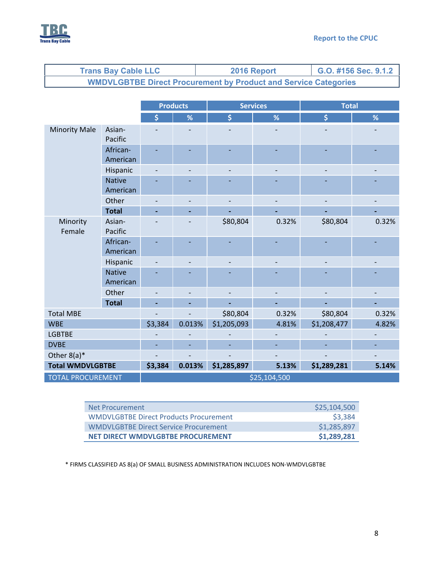

|                          | <b>Trans Bay Cable LLC</b> |         |                          | G.O. #156 Sec. 9.1.2<br>2016 Report |                          |                                                                        |                |
|--------------------------|----------------------------|---------|--------------------------|-------------------------------------|--------------------------|------------------------------------------------------------------------|----------------|
|                          |                            |         |                          |                                     |                          | <b>WMDVLGBTBE Direct Procurement by Product and Service Categories</b> |                |
|                          |                            |         |                          |                                     |                          |                                                                        |                |
|                          |                            |         | <b>Products</b>          |                                     | <b>Services</b>          | <b>Total</b>                                                           |                |
|                          | \$                         | %       | \$                       | %                                   | \$                       | $\%$                                                                   |                |
| <b>Minority Male</b>     | Asian-<br>Pacific          |         |                          |                                     |                          |                                                                        |                |
|                          | African-<br>American       |         |                          |                                     |                          |                                                                        |                |
|                          | Hispanic                   |         |                          |                                     |                          |                                                                        |                |
|                          | <b>Native</b><br>American  |         |                          |                                     |                          |                                                                        |                |
|                          | Other                      |         | $\overline{\phantom{a}}$ | $\overline{\phantom{a}}$            | $\overline{\phantom{a}}$ | $\overline{\phantom{a}}$                                               | $\overline{a}$ |
|                          | <b>Total</b>               |         |                          |                                     |                          |                                                                        |                |
| Minority<br>Female       | Asian-<br>Pacific          |         |                          | \$80,804                            | 0.32%                    | \$80,804                                                               | 0.32%          |
|                          | African-<br>American       |         |                          |                                     |                          |                                                                        |                |
|                          | Hispanic                   |         |                          |                                     |                          |                                                                        |                |
|                          | <b>Native</b>              |         |                          |                                     |                          |                                                                        |                |
|                          | American                   |         |                          |                                     |                          |                                                                        |                |
|                          | Other                      |         |                          |                                     |                          |                                                                        |                |
|                          | <b>Total</b>               |         |                          |                                     |                          |                                                                        |                |
| <b>Total MBE</b>         |                            |         | \$80,804                 | 0.32%                               | \$80,804                 | 0.32%                                                                  |                |
| <b>WBE</b>               | \$3,384                    | 0.013%  | \$1,205,093              | 4.81%                               | \$1,208,477              | 4.82%                                                                  |                |
| <b>LGBTBE</b>            |                            |         |                          |                                     |                          |                                                                        |                |
| <b>DVBE</b>              |                            |         |                          |                                     |                          |                                                                        |                |
| Other $8(a)^*$           |                            |         |                          |                                     |                          |                                                                        |                |
| <b>Total WMDVLGBTBE</b>  |                            | \$3,384 | 0.013%                   | \$1,285,897                         | 5.13%                    | \$1,289,281                                                            | 5.14%          |
| <b>TOTAL PROCUREMENT</b> |                            |         |                          |                                     | \$25,104,500             |                                                                        |                |

| Net Procurement                               | \$25,104,500 |
|-----------------------------------------------|--------------|
| <b>WMDVLGBTBE Direct Products Procurement</b> | \$3,384      |
| <b>WMDVLGBTBE Direct Service Procurement</b>  | \$1,285,897  |
| NET DIRECT WMDVLGBTBE PROCUREMENT             | \$1,289,281  |

\* FIRMS CLASSIFIED AS 8(a) OF SMALL BUSINESS ADMINISTRATION INCLUDES NON‐WMDVLGBTBE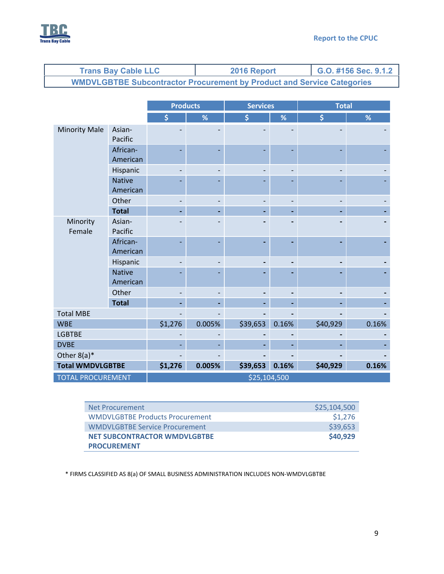

| <b>Trans Bay Cable LLC</b> |                                                                               |                           |                 |        | 2016 Report     |       | G.O. #156 Sec. 9.1.2 |       |  |
|----------------------------|-------------------------------------------------------------------------------|---------------------------|-----------------|--------|-----------------|-------|----------------------|-------|--|
|                            | <b>WMDVLGBTBE Subcontractor Procurement by Product and Service Categories</b> |                           |                 |        |                 |       |                      |       |  |
|                            |                                                                               |                           |                 |        |                 |       |                      |       |  |
|                            |                                                                               |                           | <b>Products</b> |        | <b>Services</b> |       | <b>Total</b>         |       |  |
|                            |                                                                               |                           | \$              | %      | \$              | %     | $\dot{\mathsf{S}}$   | %     |  |
|                            | <b>Minority Male</b>                                                          | Asian-<br>Pacific         |                 |        |                 |       |                      |       |  |
|                            |                                                                               | African-<br>American      |                 |        |                 |       |                      |       |  |
|                            |                                                                               | Hispanic                  |                 |        |                 |       |                      |       |  |
|                            |                                                                               | <b>Native</b><br>American |                 |        |                 |       |                      |       |  |
|                            |                                                                               | Other                     |                 |        |                 |       |                      |       |  |
|                            |                                                                               | <b>Total</b>              |                 |        |                 |       |                      |       |  |
|                            | Minority<br>Female                                                            | Asian-<br>Pacific         |                 |        |                 |       |                      |       |  |
|                            |                                                                               | African-<br>American      |                 |        |                 |       |                      |       |  |
|                            |                                                                               | Hispanic                  |                 |        |                 |       |                      |       |  |
|                            |                                                                               | <b>Native</b><br>American |                 |        |                 |       |                      |       |  |
|                            |                                                                               | Other                     |                 |        |                 |       |                      |       |  |
|                            |                                                                               | <b>Total</b>              |                 |        |                 |       |                      |       |  |
|                            | <b>Total MBE</b>                                                              |                           |                 |        |                 |       |                      |       |  |
|                            | <b>WBE</b>                                                                    |                           | \$1,276         | 0.005% | \$39,653        | 0.16% | \$40,929             | 0.16% |  |
|                            | <b>LGBTBE</b>                                                                 |                           |                 |        |                 |       |                      |       |  |

| Net Procurement                        | \$25,104,500 |
|----------------------------------------|--------------|
| <b>WMDVLGBTBE Products Procurement</b> | \$1,276      |
| <b>WMDVLGBTBE Service Procurement</b>  | \$39,653     |
| <b>NET SUBCONTRACTOR WMDVLGBTBE</b>    | \$40,929     |
| <b>PROCUREMENT</b>                     |              |

DVBE ‐ ‐ **‐ ‐ ‐ ‐** Other 8(a)\* ‐ ‐ **‐ ‐ ‐ ‐ Total WMDVLGBTBE \$1,276 0.005% \$39,653 0.16% \$40,929 0.16%**

\* FIRMS CLASSIFIED AS 8(a) OF SMALL BUSINESS ADMINISTRATION INCLUDES NON‐WMDVLGBTBE

TOTAL PROCUREMENT **1** and the state of the state  $\frac{1}{25,104,500}$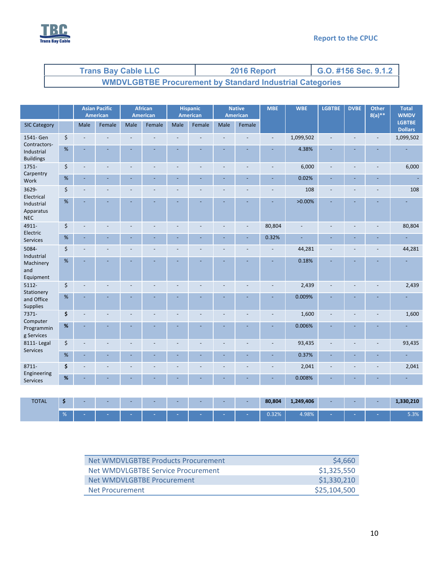

| <b>Trans Bay Cable LLC</b>                                      | 2016 Report | G.O. #156 Sec. 9.1.2 |  |  |  |  |
|-----------------------------------------------------------------|-------------|----------------------|--|--|--|--|
| <b>WMDVLGBTBE Procurement by Standard Industrial Categories</b> |             |                      |  |  |  |  |

|                                             |      |      | <b>Asian Pacific</b><br>American |                          | <b>African</b><br>American |                | <b>Hispanic</b><br><b>American</b> |      | <b>Native</b><br><b>American</b> | <b>MBE</b> | <b>WBE</b>     | <b>LGBTBE</b> | <b>DVBE</b> | <b>Other</b><br>$8(a)$ ** | <b>Total</b><br><b>WMDV</b>     |
|---------------------------------------------|------|------|----------------------------------|--------------------------|----------------------------|----------------|------------------------------------|------|----------------------------------|------------|----------------|---------------|-------------|---------------------------|---------------------------------|
| <b>SIC Category</b>                         |      | Male | Female                           | Male                     | Female                     | Male           | Female                             | Male | Female                           |            |                |               |             |                           | <b>LGBTBE</b><br><b>Dollars</b> |
| 1541- Gen<br>Contractors-                   | \$   |      |                                  |                          |                            |                |                                    |      |                                  |            | 1,099,502      |               |             | $\overline{a}$            | 1,099,502                       |
| Industrial<br><b>Buildings</b>              | $\%$ |      |                                  |                          |                            |                |                                    |      |                                  |            | 4.38%          |               |             |                           |                                 |
| 1751-                                       | \$   |      |                                  | $\blacksquare$           |                            | L.             |                                    |      | L,                               | L,         | 6,000          |               |             | ÷,                        | 6,000                           |
| Carpentry<br>Work                           | $\%$ |      | ÷,                               | ÷,                       |                            |                |                                    |      | ä,                               |            | 0.02%          |               |             |                           |                                 |
| 3629-<br>Electrical                         | \$   |      |                                  | $\overline{a}$           |                            |                |                                    |      |                                  | ÷,         | 108            |               |             |                           | 108                             |
| Industrial<br>Apparatus<br><b>NEC</b>       | %    |      |                                  |                          |                            |                |                                    |      |                                  |            | $>0.00\%$      |               |             |                           |                                 |
| 4911-<br>Electric                           | \$   |      |                                  | $\blacksquare$           |                            |                |                                    |      | $\blacksquare$                   | 80,804     | $\blacksquare$ |               |             | $\overline{a}$            | 80,804                          |
| Services                                    | $\%$ |      |                                  |                          |                            |                |                                    |      | ÷                                | 0.32%      | $\equiv$       |               |             |                           | Ē,                              |
| 5084-                                       | \$   |      |                                  | $\overline{a}$           |                            |                |                                    |      | L,                               |            | 44,281         |               |             | ÷,                        | 44,281                          |
| Industrial<br>Machinery<br>and<br>Equipment | $\%$ |      |                                  |                          |                            |                |                                    |      |                                  |            | 0.18%          |               |             |                           |                                 |
| 5112-<br>Stationery                         | \$   |      |                                  |                          |                            |                |                                    |      |                                  |            | 2,439          |               |             |                           | 2,439                           |
| and Office<br>Supplies                      | %    |      |                                  |                          |                            |                |                                    |      |                                  |            | 0.009%         |               |             |                           |                                 |
| 7371-<br>Computer                           | \$   |      |                                  | $\overline{a}$           |                            |                |                                    |      |                                  |            | 1,600          |               |             |                           | 1,600                           |
| Programmin<br>g Services                    | %    |      |                                  |                          |                            |                |                                    |      |                                  |            | 0.006%         |               |             |                           |                                 |
| 8111-Legal<br>Services                      | \$   |      |                                  | $\overline{\phantom{a}}$ |                            | $\overline{a}$ | ÷,                                 |      | ä,                               | ä,         | 93,435         |               |             | ÷,                        | 93,435                          |
|                                             | %    |      |                                  | ÷                        |                            |                |                                    |      | L.                               |            | 0.37%          |               |             |                           | ÷                               |
| 8711-                                       | \$   |      |                                  |                          |                            |                |                                    |      |                                  |            | 2,041          |               |             |                           | 2,041                           |
| Engineering<br>Services                     | $\%$ |      |                                  |                          |                            |                |                                    |      |                                  |            | 0.008%         |               |             |                           | ÷.                              |
|                                             |      |      |                                  |                          |                            |                |                                    |      |                                  |            |                |               |             |                           |                                 |
| <b>TOTAL</b>                                | \$   |      |                                  |                          |                            |                |                                    |      |                                  | 80,804     | 1,249,406      |               |             |                           | 1,330,210                       |

| Net WMDVLGBTBE Products Procurement | \$4,660      |
|-------------------------------------|--------------|
| Net WMDVLGBTBE Service Procurement  | \$1,325,550  |
| Net WMDVLGBTBE Procurement          | \$1,330,210  |
| Net Procurement                     | \$25,104,500 |

% **‐ ‐ ‐ ‐ ‐ ‐ ‐ ‐** 0.32% 4.98% **‐ ‐ ‐** 5.3%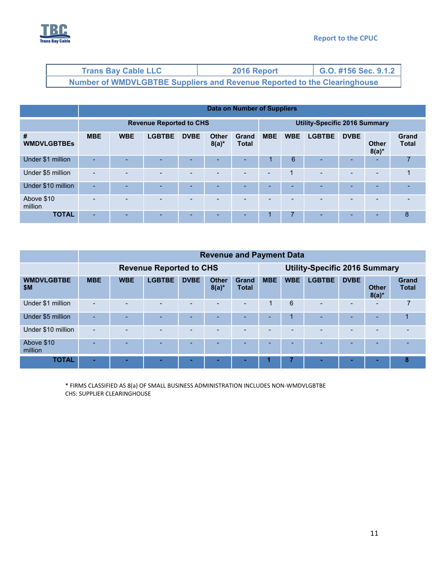

| <b>Trans Bay Cable LLC</b>                                                      | 2016 Report | G.O. #156 Sec. 9.1.2 |  |  |
|---------------------------------------------------------------------------------|-------------|----------------------|--|--|
| <b>Number of WMDVLGBTBE Suppliers and Revenue Reported to the Clearinghouse</b> |             |                      |  |  |

|                         |                                | Data on Number of Suppliers |               |             |                          |                              |                                      |            |               |             |                          |                              |
|-------------------------|--------------------------------|-----------------------------|---------------|-------------|--------------------------|------------------------------|--------------------------------------|------------|---------------|-------------|--------------------------|------------------------------|
|                         | <b>Revenue Reported to CHS</b> |                             |               |             |                          |                              | <b>Utility-Specific 2016 Summary</b> |            |               |             |                          |                              |
| #<br><b>WMDVLGBTBEs</b> | <b>MBE</b>                     | <b>WBE</b>                  | <b>LGBTBE</b> | <b>DVBE</b> | <b>Other</b><br>$8(a)^*$ | <b>Grand</b><br><b>Total</b> | <b>MBE</b>                           | <b>WBE</b> | <b>LGBTBE</b> | <b>DVBE</b> | <b>Other</b><br>$8(a)^*$ | <b>Grand</b><br><b>Total</b> |
| Under \$1 million       | <b>.</b>                       |                             |               |             | <b>-</b>                 | -                            |                                      | 6          |               | -           |                          | 7                            |
| Under \$5 million       | $\overline{a}$                 |                             |               |             | $\overline{\phantom{0}}$ |                              | $\overline{\phantom{0}}$             | 1          |               |             | $\overline{\phantom{0}}$ | 1                            |
| Under \$10 million      | ٠                              |                             |               |             | <b>-</b>                 | -                            |                                      |            |               | -           |                          |                              |
| Above \$10<br>million   |                                |                             |               |             | $\overline{\phantom{0}}$ |                              | -                                    | -          |               | -           |                          |                              |
| <b>TOTAL</b>            |                                |                             |               |             |                          |                              |                                      |            |               | -           |                          | 8                            |

|                          |                          | <b>Revenue and Payment Data</b> |               |                          |                          |                          |            |                                      |               |                          |                          |                       |
|--------------------------|--------------------------|---------------------------------|---------------|--------------------------|--------------------------|--------------------------|------------|--------------------------------------|---------------|--------------------------|--------------------------|-----------------------|
|                          |                          | <b>Revenue Reported to CHS</b>  |               |                          |                          |                          |            | <b>Utility-Specific 2016 Summary</b> |               |                          |                          |                       |
| <b>WMDVLGBTBE</b><br>\$M | <b>MBE</b>               | <b>WBE</b>                      | <b>LGBTBE</b> | <b>DVBE</b>              | <b>Other</b><br>$8(a)^*$ | Grand<br><b>Total</b>    | <b>MBE</b> | <b>WBE</b>                           | <b>LGBTBE</b> | <b>DVBE</b>              | <b>Other</b><br>$8(a)^*$ | Grand<br><b>Total</b> |
| Under \$1 million        | $\blacksquare$           |                                 |               | $\overline{\phantom{a}}$ | $\overline{\phantom{0}}$ | $\overline{\phantom{0}}$ | 1          | 6                                    |               | $\overline{\phantom{0}}$ | $\overline{\phantom{0}}$ | 7                     |
| Under \$5 million        | $\overline{\phantom{0}}$ |                                 |               |                          | -                        | -                        |            | 1                                    |               |                          |                          | 4                     |
| Under \$10 million       | $\overline{\phantom{0}}$ |                                 |               | $\overline{\phantom{a}}$ | $\overline{\phantom{0}}$ | $\overline{\phantom{0}}$ |            | $\overline{\phantom{0}}$             |               | $\overline{\phantom{a}}$ |                          |                       |
| Above \$10<br>million    | $\overline{\phantom{a}}$ |                                 |               | <b>100</b>               | -                        | -                        |            |                                      |               |                          |                          |                       |
| <b>TOTAL</b>             |                          |                                 |               |                          |                          |                          |            |                                      |               |                          |                          | 8                     |

\* FIRMS CLASSIFIED AS 8(a) OF SMALL BUSINESS ADMINISTRATION INCLUDES NON‐WMDVLGBTBE CHS: SUPPLIER CLEARINGHOUSE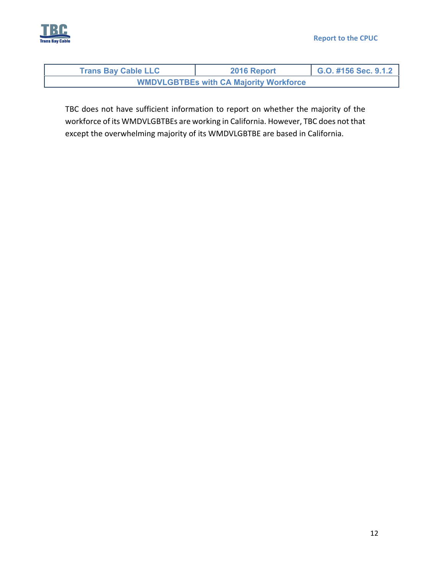



| <b>Trans Bay Cable LLC</b>                    | 2016 Report | G.O. #156 Sec. 9.1.2 |
|-----------------------------------------------|-------------|----------------------|
| <b>WMDVLGBTBEs with CA Majority Workforce</b> |             |                      |

TBC does not have sufficient information to report on whether the majority of the workforce of its WMDVLGBTBEs are working in California. However, TBC does not that except the overwhelming majority of its WMDVLGBTBE are based in California.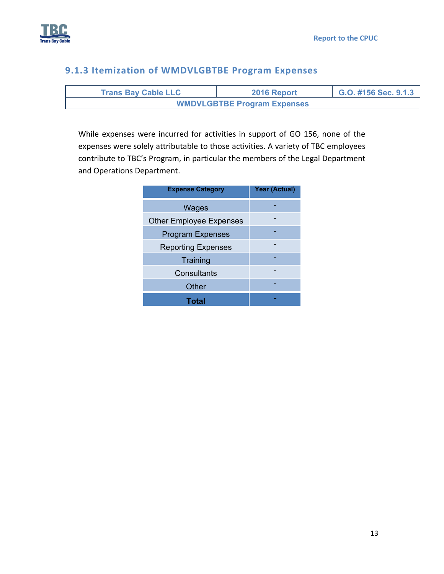

# **9.1.3 Itemization of WMDVLGBTBE Program Expenses**

| <b>Trans Bay Cable LLC</b>         | 2016 Report | G.O. #156 Sec. 9.1.3 |  |  |  |  |
|------------------------------------|-------------|----------------------|--|--|--|--|
| <b>WMDVLGBTBE Program Expenses</b> |             |                      |  |  |  |  |

While expenses were incurred for activities in support of GO 156, none of the expenses were solely attributable to those activities. A variety of TBC employees contribute to TBC's Program, in particular the members of the Legal Department and Operations Department.

| <b>Expense Category</b>        | <b>Year (Actual)</b> |
|--------------------------------|----------------------|
| Wages                          |                      |
| <b>Other Employee Expenses</b> |                      |
| <b>Program Expenses</b>        |                      |
| <b>Reporting Expenses</b>      |                      |
| Training                       |                      |
| Consultants                    |                      |
| Other                          |                      |
| Total                          |                      |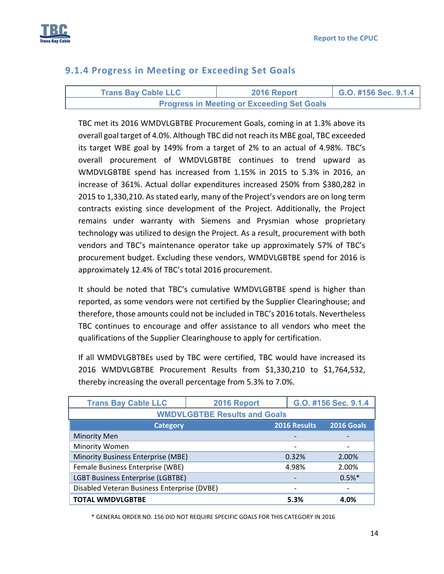

### **9.1.4 Progress in Meeting or Exceeding Set Goals**

| <b>Trans Bay Cable LLC</b>                        | 2016 Report | $\bigcup$ G.O. #156 Sec. 9.1.4 |
|---------------------------------------------------|-------------|--------------------------------|
| <b>Progress in Meeting or Exceeding Set Goals</b> |             |                                |

TBC met its 2016 WMDVLGBTBE Procurement Goals, coming in at 1.3% above its overall goal target of 4.0%. Although TBC did not reach its MBE goal, TBC exceeded its target WBE goal by 149% from a target of 2% to an actual of 4.98%. TBC's overall procurement of WMDVLGBTBE continues to trend upward as WMDVLGBTBE spend has increased from 1.15% in 2015 to 5.3% in 2016, an increase of 361%. Actual dollar expenditures increased 250% from \$380,282 in 2015 to 1,330,210. As stated early, many of the Project's vendors are on long term contracts existing since development of the Project. Additionally, the Project remains under warranty with Siemens and Prysmian whose proprietary technology was utilized to design the Project. As a result, procurement with both vendors and TBC's maintenance operator take up approximately 57% of TBC's procurement budget. Excluding these vendors, WMDVLGBTBE spend for 2016 is approximately 12.4% of TBC's total 2016 procurement.

It should be noted that TBC's cumulative WMDVLGBTBE spend is higher than reported, as some vendors were not certified by the Supplier Clearinghouse; and therefore, those amounts could not be included in TBC's 2016 totals. Nevertheless TBC continues to encourage and offer assistance to all vendors who meet the qualifications of the Supplier Clearinghouse to apply for certification.

If all WMDVLGBTBEs used by TBC were certified, TBC would have increased its 2016 WMDVLGBTBE Procurement Results from \$1,330,210 to \$1,764,532, thereby increasing the overall percentage from 5.3% to 7.0%.

| <b>Trans Bay Cable LLC</b>                  | 2016 Report |                          | G.O. #156 Sec. 9.1.4 |  |  |  |  |
|---------------------------------------------|-------------|--------------------------|----------------------|--|--|--|--|
| <b>WMDVLGBTBE Results and Goals</b>         |             |                          |                      |  |  |  |  |
| <b>Category</b>                             |             | 2016 Results             | <b>2016 Goals</b>    |  |  |  |  |
| <b>Minority Men</b>                         |             |                          |                      |  |  |  |  |
| Minority Women                              |             | $\overline{\phantom{a}}$ |                      |  |  |  |  |
| Minority Business Enterprise (MBE)          |             | 0.32%                    | 2.00%                |  |  |  |  |
| Female Business Enterprise (WBE)            |             | 4.98%                    | 2.00%                |  |  |  |  |
| <b>LGBT Business Enterprise (LGBTBE)</b>    |             |                          | $0.5%$ *             |  |  |  |  |
| Disabled Veteran Business Enterprise (DVBE) |             |                          |                      |  |  |  |  |
| <b>TOTAL WMDVLGBTBE</b>                     |             | 5.3%                     | 4.0%                 |  |  |  |  |

\* GENERAL ORDER NO. 156 DID NOT REQUIRE SPECIFIC GOALS FOR THIS CATEGORY IN 2016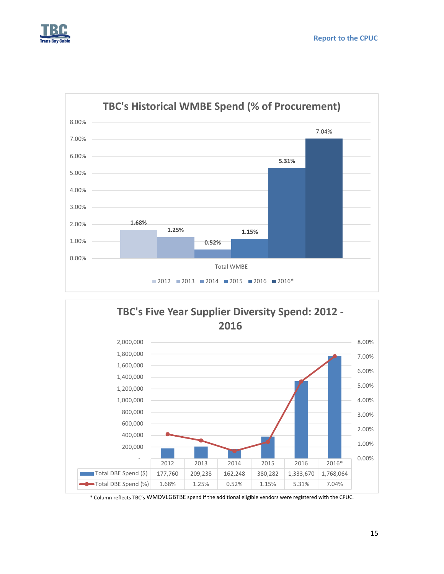





\* Column reflects TBC's WMDVLGBTBE spend if the additional eligible vendors were registered with the CPUC.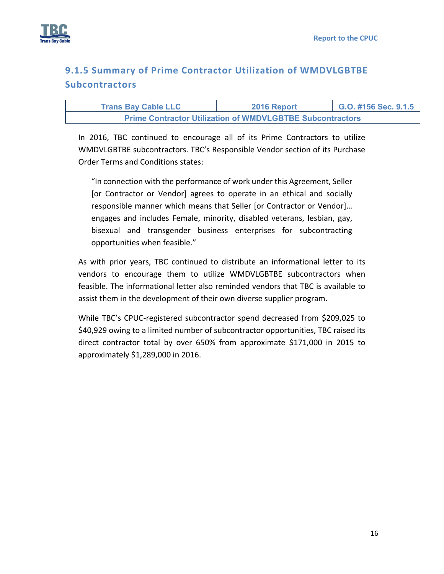

# **9.1.5 Summary of Prime Contractor Utilization of WMDVLGBTBE Subcontractors**

| <b>Trans Bay Cable LLC</b>                                       | 2016 Report | G.O. #156 Sec. 9.1.5 |  |  |  |  |  |
|------------------------------------------------------------------|-------------|----------------------|--|--|--|--|--|
| <b>Prime Contractor Utilization of WMDVLGBTBE Subcontractors</b> |             |                      |  |  |  |  |  |

In 2016, TBC continued to encourage all of its Prime Contractors to utilize WMDVLGBTBE subcontractors. TBC's Responsible Vendor section of its Purchase Order Terms and Conditions states:

"In connection with the performance of work under this Agreement, Seller [or Contractor or Vendor] agrees to operate in an ethical and socially responsible manner which means that Seller [or Contractor or Vendor]… engages and includes Female, minority, disabled veterans, lesbian, gay, bisexual and transgender business enterprises for subcontracting opportunities when feasible."

As with prior years, TBC continued to distribute an informational letter to its vendors to encourage them to utilize WMDVLGBTBE subcontractors when feasible. The informational letter also reminded vendors that TBC is available to assist them in the development of their own diverse supplier program.

While TBC's CPUC‐registered subcontractor spend decreased from \$209,025 to \$40,929 owing to a limited number of subcontractor opportunities, TBC raised its direct contractor total by over 650% from approximate \$171,000 in 2015 to approximately \$1,289,000 in 2016.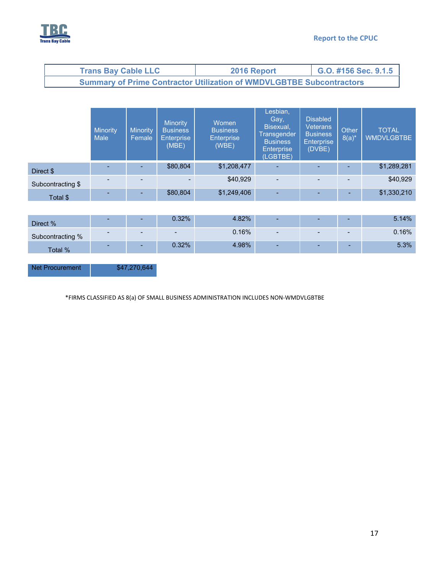

| <b>Trans Bay Cable LLC</b>                                                  | 2016 Report | G.O. #156 Sec. 9.1.5 |  |  |  |  |
|-----------------------------------------------------------------------------|-------------|----------------------|--|--|--|--|
| <b>Summary of Prime Contractor Utilization of WMDVLGBTBE Subcontractors</b> |             |                      |  |  |  |  |

|                   | <b>Minority</b><br><b>Male</b> | <b>Minority</b><br>Female | <b>Minority</b><br><b>Business</b><br><b>Enterprise</b><br>(MBE) | Women<br><b>Business</b><br><b>Enterprise</b><br>(WBE) | Lesbian,<br>Gay,<br>Bisexual,<br>Transgender<br><b>Business</b><br><b>Enterprise</b><br>(LGBTBE) | <b>Disabled</b><br><b>Veterans</b><br><b>Business</b><br><b>Enterprise</b><br>(DVBE) | Other<br>$8(a)^*$ | <b>TOTAL</b><br><b>WMDVLGBTBE</b> |
|-------------------|--------------------------------|---------------------------|------------------------------------------------------------------|--------------------------------------------------------|--------------------------------------------------------------------------------------------------|--------------------------------------------------------------------------------------|-------------------|-----------------------------------|
| Direct \$         |                                |                           | \$80,804                                                         | \$1,208,477                                            | $\overline{\phantom{0}}$                                                                         |                                                                                      |                   | \$1,289,281                       |
| Subcontracting \$ | $\overline{\phantom{0}}$       |                           |                                                                  | \$40,929                                               | $\overline{\phantom{a}}$                                                                         |                                                                                      |                   | \$40,929                          |
| Total \$          | н.                             |                           | \$80,804                                                         | \$1,249,406                                            | ٠                                                                                                | ٠                                                                                    |                   | \$1,330,210                       |
|                   |                                |                           |                                                                  |                                                        |                                                                                                  |                                                                                      |                   |                                   |

| Direct %         | - | $0.32\%$                 | 1.82%    | <u> — 1</u>              |  | 5.14% |
|------------------|---|--------------------------|----------|--------------------------|--|-------|
| Subcontracting % |   | $\overline{\phantom{a}}$ | $0.16\%$ | $\overline{\phantom{0}}$ |  | 0.16% |
| Total %          |   | $0.32\%$                 | 4.98%    | $\overline{\phantom{a}}$ |  | 5.3%  |

Net Procurement \$47,270,644

\*FIRMS CLASSIFIED AS 8(a) OF SMALL BUSINESS ADMINISTRATION INCLUDES NON‐WMDVLGBTBE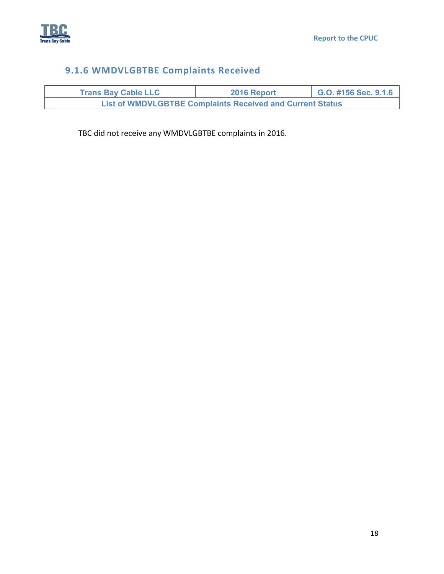

# **9.1.6 WMDVLGBTBE Complaints Received**

| <b>Trans Bay Cable LLC</b>                                       | 2016 Report | G.O. #156 Sec. 9.1.6 |  |  |  |  |  |
|------------------------------------------------------------------|-------------|----------------------|--|--|--|--|--|
| <b>List of WMDVLGBTBE Complaints Received and Current Status</b> |             |                      |  |  |  |  |  |

TBC did not receive any WMDVLGBTBE complaints in 2016.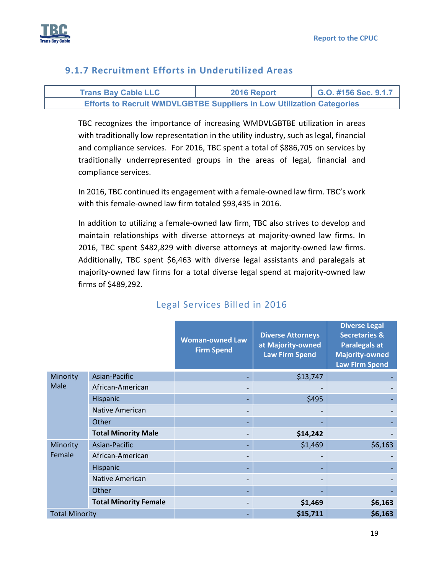

# **9.1.7 Recruitment Efforts in Underutilized Areas**

| <b>Trans Bay Cable LLC</b>                                                   | 2016 Report | G.O. #156 Sec. 9.1.7 |  |
|------------------------------------------------------------------------------|-------------|----------------------|--|
| <b>Efforts to Recruit WMDVLGBTBE Suppliers in Low Utilization Categories</b> |             |                      |  |

TBC recognizes the importance of increasing WMDVLGBTBE utilization in areas with traditionally low representation in the utility industry, such as legal, financial and compliance services. For 2016, TBC spent a total of \$886,705 on services by traditionally underrepresented groups in the areas of legal, financial and compliance services.

In 2016, TBC continued its engagement with a female‐owned law firm. TBC's work with this female‐owned law firm totaled \$93,435 in 2016.

In addition to utilizing a female‐owned law firm, TBC also strives to develop and maintain relationships with diverse attorneys at majority‐owned law firms. In 2016, TBC spent \$482,829 with diverse attorneys at majority-owned law firms. Additionally, TBC spent \$6,463 with diverse legal assistants and paralegals at majority‐owned law firms for a total diverse legal spend at majority‐owned law firms of \$489,292.

|                       |                              | <b>Woman-owned Law</b><br><b>Firm Spend</b> | <b>Diverse Attorneys</b><br>at Majority-owned<br><b>Law Firm Spend</b> | <b>Diverse Legal</b><br><b>Secretaries &amp;</b><br><b>Paralegals at</b><br><b>Majority-owned</b><br><b>Law Firm Spend</b> |
|-----------------------|------------------------------|---------------------------------------------|------------------------------------------------------------------------|----------------------------------------------------------------------------------------------------------------------------|
| Minority              | Asian-Pacific                |                                             | \$13,747                                                               |                                                                                                                            |
| Male                  | African-American             |                                             |                                                                        |                                                                                                                            |
|                       | Hispanic                     |                                             | \$495                                                                  |                                                                                                                            |
|                       | <b>Native American</b>       |                                             |                                                                        |                                                                                                                            |
|                       | Other                        |                                             |                                                                        |                                                                                                                            |
|                       | <b>Total Minority Male</b>   |                                             | \$14,242                                                               |                                                                                                                            |
| Minority              | Asian-Pacific                |                                             | \$1,469                                                                | \$6,163                                                                                                                    |
| Female                | African-American             |                                             |                                                                        |                                                                                                                            |
|                       | Hispanic                     |                                             |                                                                        |                                                                                                                            |
|                       | <b>Native American</b>       |                                             |                                                                        |                                                                                                                            |
|                       | Other                        |                                             |                                                                        |                                                                                                                            |
|                       | <b>Total Minority Female</b> |                                             | \$1,469                                                                | \$6,163                                                                                                                    |
| <b>Total Minority</b> |                              |                                             | \$15,711                                                               | \$6,163                                                                                                                    |

# Legal Services Billed in 2016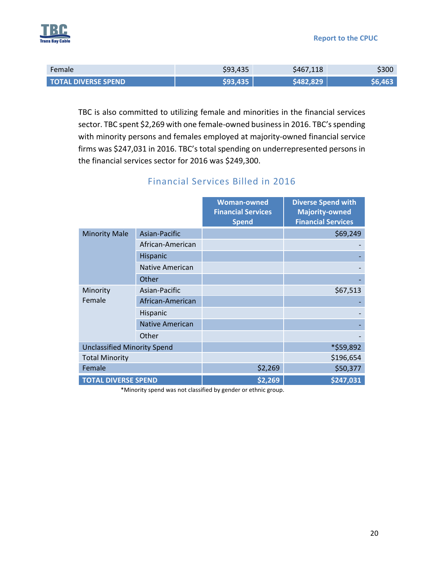

| Female                     | \$93,435 | \$467,118 | 5300 |
|----------------------------|----------|-----------|------|
| <b>TOTAL DIVERSE SPEND</b> |          |           |      |

TBC is also committed to utilizing female and minorities in the financial services sector. TBC spent \$2,269 with one female-owned business in 2016. TBC's spending with minority persons and females employed at majority-owned financial service firms was \$247,031 in 2016. TBC's total spending on underrepresented persons in the financial services sector for 2016 was \$249,300.

|                                    |                        | <b>Woman-owned</b><br><b>Financial Services</b><br><b>Spend</b> | <b>Diverse Spend with</b><br><b>Majority-owned</b><br><b>Financial Services</b> |
|------------------------------------|------------------------|-----------------------------------------------------------------|---------------------------------------------------------------------------------|
| <b>Minority Male</b>               | Asian-Pacific          |                                                                 | \$69,249                                                                        |
|                                    | African-American       |                                                                 |                                                                                 |
|                                    | Hispanic               |                                                                 |                                                                                 |
|                                    | <b>Native American</b> |                                                                 |                                                                                 |
|                                    | Other                  |                                                                 |                                                                                 |
| Minority                           | Asian-Pacific          |                                                                 | \$67,513                                                                        |
| Female                             | African-American       |                                                                 |                                                                                 |
|                                    | Hispanic               |                                                                 |                                                                                 |
|                                    | Native American        |                                                                 |                                                                                 |
|                                    | Other                  |                                                                 |                                                                                 |
| <b>Unclassified Minority Spend</b> |                        |                                                                 | *\$59,892                                                                       |
| <b>Total Minority</b>              |                        |                                                                 | \$196,654                                                                       |
| Female                             |                        | \$2,269                                                         | \$50,377                                                                        |
| <b>TOTAL DIVERSE SPEND</b>         |                        | \$2,269                                                         | \$247,031                                                                       |

## Financial Services Billed in 2016

\*Minority spend was not classified by gender or ethnic group.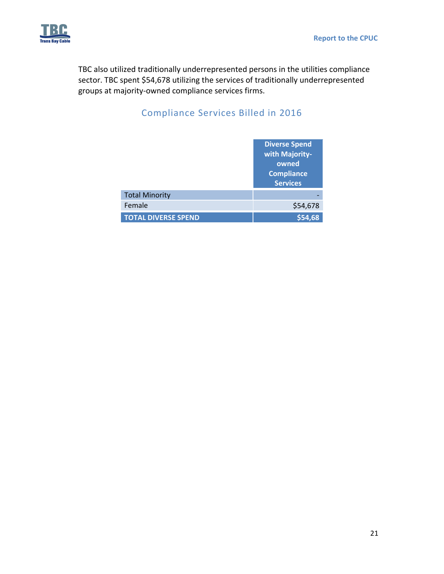

TBC also utilized traditionally underrepresented persons in the utilities compliance sector. TBC spent \$54,678 utilizing the services of traditionally underrepresented groups at majority‐owned compliance services firms.

# Compliance Services Billed in 2016

|                            | <b>Diverse Spend</b><br>with Majority-<br>owned<br><b>Compliance</b><br><b>Services</b> |
|----------------------------|-----------------------------------------------------------------------------------------|
| <b>Total Minority</b>      |                                                                                         |
| Female                     | \$54,678                                                                                |
| <b>TOTAL DIVERSE SPEND</b> | \$54.68                                                                                 |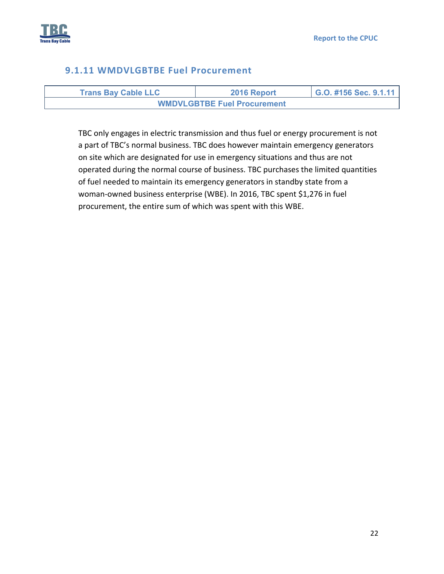

#### **9.1.11 WMDVLGBTBE Fuel Procurement**

| <b>Trans Bay Cable LLC</b> | 2016 Report                        | G.O. #156 Sec. 9.1.11 |
|----------------------------|------------------------------------|-----------------------|
|                            | <b>WMDVLGBTBE Fuel Procurement</b> |                       |

TBC only engages in electric transmission and thus fuel or energy procurement is not a part of TBC's normal business. TBC does however maintain emergency generators on site which are designated for use in emergency situations and thus are not operated during the normal course of business. TBC purchases the limited quantities of fuel needed to maintain its emergency generators in standby state from a woman‐owned business enterprise (WBE). In 2016, TBC spent \$1,276 in fuel procurement, the entire sum of which was spent with this WBE.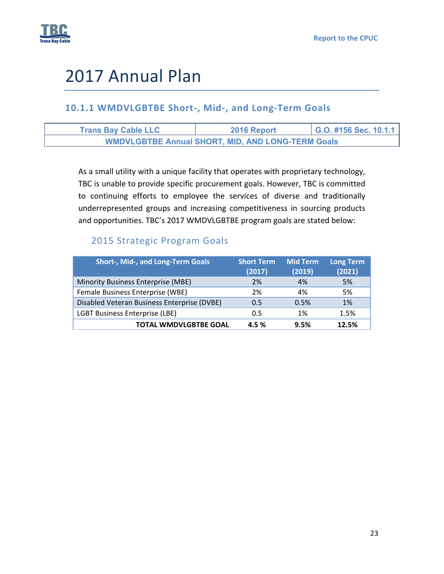

# 2017 Annual Plan

# **10.1.1 WMDVLGBTBE Short‐, Mid‐, and Long‐Term Goals**

| <b>Trans Bay Cable LLC</b> | 2016 Report                                              | G.O. #156 Sec. 10.1.1 |
|----------------------------|----------------------------------------------------------|-----------------------|
|                            | <b>WMDVLGBTBE Annual SHORT, MID, AND LONG-TERM Goals</b> |                       |

As a small utility with a unique facility that operates with proprietary technology, TBC is unable to provide specific procurement goals. However, TBC is committed to continuing efforts to employee the services of diverse and traditionally underrepresented groups and increasing competitiveness in sourcing products and opportunities. TBC's 2017 WMDVLGBTBE program goals are stated below:

# 2015 Strategic Program Goals

| <b>Short-, Mid-, and Long-Term Goals</b>    | <b>Short Term</b><br>(2017) | <b>Mid Term</b><br>(2019) | <b>Long Term</b><br>(2021) |
|---------------------------------------------|-----------------------------|---------------------------|----------------------------|
| Minority Business Enterprise (MBE)          | 2%                          | 4%                        | 5%                         |
| Female Business Enterprise (WBE)            | 2%                          | 4%                        | 5%                         |
| Disabled Veteran Business Enterprise (DVBE) | 0.5                         | 0.5%                      | 1%                         |
| <b>LGBT Business Enterprise (LBE)</b>       | 0.5                         | 1%                        | 1.5%                       |
| <b>TOTAL WMDVLGBTBE GOAL</b>                | 4.5%                        | 9.5%                      | 12.5%                      |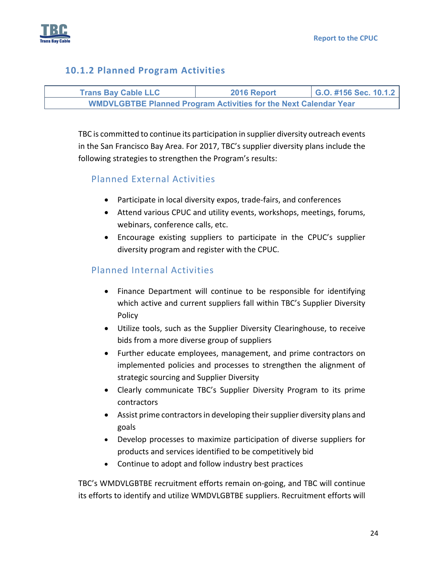

# **10.1.2 Planned Program Activities**



TBC is committed to continue its participation in supplier diversity outreach events in the San Francisco Bay Area. For 2017, TBC's supplier diversity plans include the following strategies to strengthen the Program's results:

## Planned External Activities

- Participate in local diversity expos, trade-fairs, and conferences
- Attend various CPUC and utility events, workshops, meetings, forums, webinars, conference calls, etc.
- Encourage existing suppliers to participate in the CPUC's supplier diversity program and register with the CPUC.

# Planned Internal Activities

- Finance Department will continue to be responsible for identifying which active and current suppliers fall within TBC's Supplier Diversity Policy
- Utilize tools, such as the Supplier Diversity Clearinghouse, to receive bids from a more diverse group of suppliers
- Further educate employees, management, and prime contractors on implemented policies and processes to strengthen the alignment of strategic sourcing and Supplier Diversity
- Clearly communicate TBC's Supplier Diversity Program to its prime contractors
- Assist prime contractors in developing their supplier diversity plans and goals
- Develop processes to maximize participation of diverse suppliers for products and services identified to be competitively bid
- Continue to adopt and follow industry best practices

TBC's WMDVLGBTBE recruitment efforts remain on‐going, and TBC will continue its efforts to identify and utilize WMDVLGBTBE suppliers. Recruitment efforts will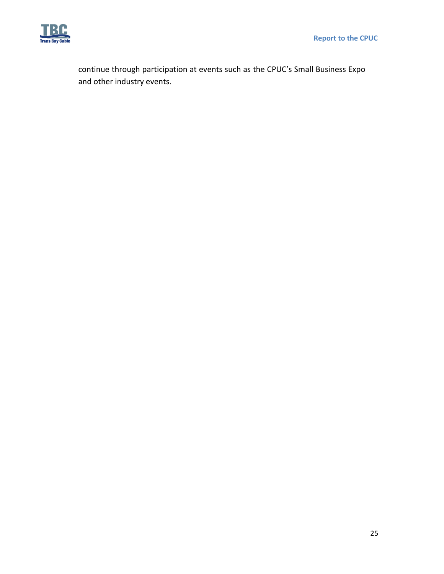

continue through participation at events such as the CPUC's Small Business Expo and other industry events.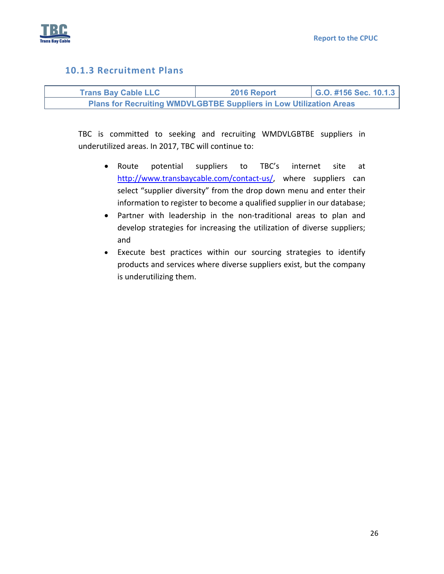

#### **10.1.3 Recruitment Plans**

| <b>Trans Bay Cable LLC</b> | 2016 Report                                                               | G.O. #156 Sec. 10.1.3 |
|----------------------------|---------------------------------------------------------------------------|-----------------------|
|                            | <b>Plans for Recruiting WMDVLGBTBE Suppliers in Low Utilization Areas</b> |                       |

TBC is committed to seeking and recruiting WMDVLGBTBE suppliers in underutilized areas. In 2017, TBC will continue to:

- Route potential suppliers to TBC's internet site at http://www.transbaycable.com/contact-us/, where suppliers can select "supplier diversity" from the drop down menu and enter their information to register to become a qualified supplier in our database;
- Partner with leadership in the non-traditional areas to plan and develop strategies for increasing the utilization of diverse suppliers; and
- Execute best practices within our sourcing strategies to identify products and services where diverse suppliers exist, but the company is underutilizing them.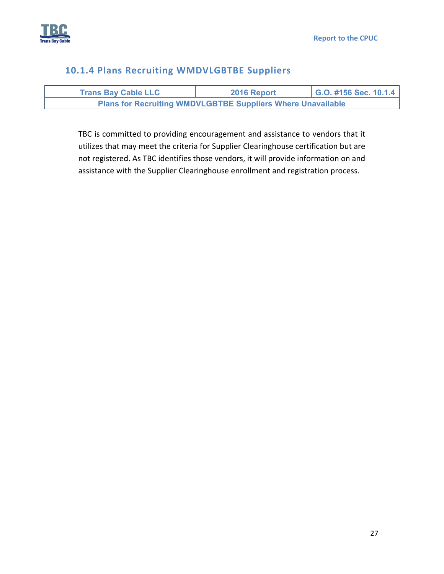

## **10.1.4 Plans Recruiting WMDVLGBTBE Suppliers**

| <b>Trans Bay Cable LLC</b>                                         | 2016 Report | $\mid$ G.O. #156 Sec. 10.1.4 |
|--------------------------------------------------------------------|-------------|------------------------------|
| <b>Plans for Recruiting WMDVLGBTBE Suppliers Where Unavailable</b> |             |                              |

TBC is committed to providing encouragement and assistance to vendors that it utilizes that may meet the criteria for Supplier Clearinghouse certification but are not registered. As TBC identifies those vendors, it will provide information on and assistance with the Supplier Clearinghouse enrollment and registration process.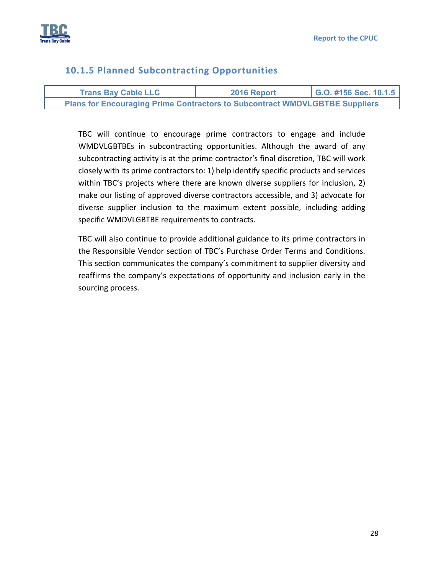

# **10.1.5 Planned Subcontracting Opportunities**

| <b>Trans Bay Cable LLC</b>                                                         | 2016 Report | G.O. #156 Sec. 10.1.5 |
|------------------------------------------------------------------------------------|-------------|-----------------------|
| <b>Plans for Encouraging Prime Contractors to Subcontract WMDVLGBTBE Suppliers</b> |             |                       |

TBC will continue to encourage prime contractors to engage and include WMDVLGBTBEs in subcontracting opportunities. Although the award of any subcontracting activity is at the prime contractor's final discretion, TBC will work closely with its prime contractorsto: 1) help identify specific products and services within TBC's projects where there are known diverse suppliers for inclusion, 2) make our listing of approved diverse contractors accessible, and 3) advocate for diverse supplier inclusion to the maximum extent possible, including adding specific WMDVLGBTBE requirements to contracts.

TBC will also continue to provide additional guidance to its prime contractors in the Responsible Vendor section of TBC's Purchase Order Terms and Conditions. This section communicates the company's commitment to supplier diversity and reaffirms the company's expectations of opportunity and inclusion early in the sourcing process.